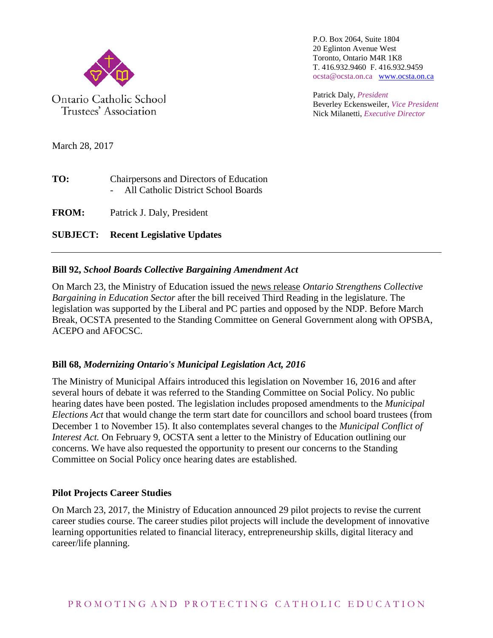

Trustees' Association

P.O. Box 2064, Suite 1804 20 Eglinton Avenue West Toronto, Ontario M4R 1K8 T. 416.932.9460 F. 416.932.9459 ocsta@ocsta.on.ca [www.ocsta.on.ca](http://www.ocsta.on.ca/)

Patrick Daly, *President* Beverley Eckensweiler, *Vice President* Nick Milanetti, *Executive Director*

March 28, 2017

| TO: | Chairpersons and Directors of Education |
|-----|-----------------------------------------|
|     | All Catholic District School Boards     |
|     |                                         |

**FROM:** Patrick J. Daly, President

**SUBJECT: Recent Legislative Updates**

## **Bill 92,** *School Boards Collective Bargaining Amendment Act*

On March 23, the Ministry of Education issued the [news release](https://news.ontario.ca/edu/en/2017/03/ontario-strengthens-collective-bargaining-in-education-sector.html?utm_source=ondemand&utm_medium=email&utm_campaign=m) *Ontario Strengthens Collective Bargaining in Education Sector* after the bill received Third Reading in the legislature. The legislation was supported by the Liberal and PC parties and opposed by the NDP. Before March Break, [OCSTA presented to the Standing Committee](http://www.opsba.org/_layouts/15/WopiFrame.aspx?sourcedoc=/SiteCollectionDocuments/Submission%20to%20the%20Standing%20Committee%20re%20SBCBA%20Amendments%20FINAL_EN.pdf&action=default) on General Government along with OPSBA, ACEPO and AFOCSC.

## **Bill 68,** *Modernizing Ontario's Municipal Legislation Act, 2016*

The Ministry of Municipal Affairs introduced this legislation on November 16, 2016 and after several hours of debate it was referred to the Standing Committee on Social Policy. No public hearing dates have been posted. The legislation includes proposed amendments to the *Municipal Elections Act* that would change the term start date for councillors and school board trustees (from December 1 to November 15). It also contemplates several changes to the *Municipal Conflict of Interest Act.* On February 9, OCSTA sent a [letter to the Ministry of Education](http://www.opsba.org/OPSBA%20Connects%202/Documents/OPSBAletterBill68Mar0317.pdf) outlining our concerns. We have also requested the opportunity to present our concerns to the Standing Committee on Social Policy once hearing dates are established.

## **Pilot Projects Career Studies**

On March 23, 2017, the Ministry of Education [announced 29 pilot projects](https://news.ontario.ca/edu/en/2017/03/preparing-students-to-thrive-in-ontarios-innovative-economy.html?utm_source=ondemand&utm_medium=email&utm_campaign=m) to revise the current career studies course. The career studies pilot projects will include the development of innovative learning opportunities related to financial literacy, entrepreneurship skills, digital literacy and career/life planning.